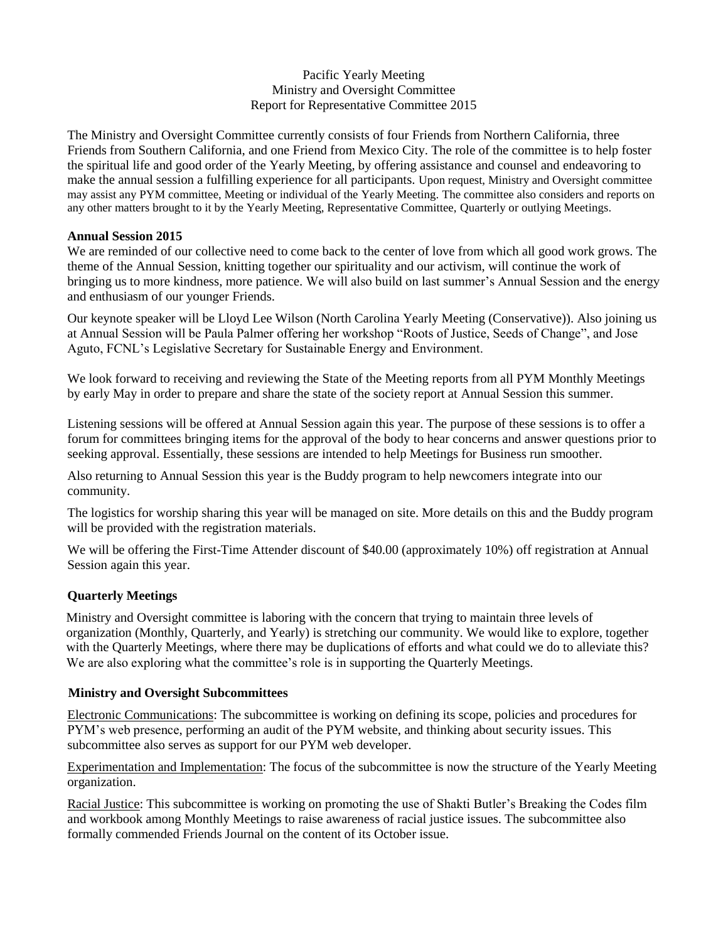## Pacific Yearly Meeting Ministry and Oversight Committee Report for Representative Committee 2015

The Ministry and Oversight Committee currently consists of four Friends from Northern California, three Friends from Southern California, and one Friend from Mexico City. The role of the committee is to help foster the spiritual life and good order of the Yearly Meeting, by offering assistance and counsel and endeavoring to make the annual session a fulfilling experience for all participants. Upon request, Ministry and Oversight committee may assist any PYM committee, Meeting or individual of the Yearly Meeting. The committee also considers and reports on any other matters brought to it by the Yearly Meeting, Representative Committee, Quarterly or outlying Meetings.

### **Annual Session 2015**

We are reminded of our collective need to come back to the center of love from which all good work grows. The theme of the Annual Session, knitting together our spirituality and our activism, will continue the work of bringing us to more kindness, more patience. We will also build on last summer's Annual Session and the energy and enthusiasm of our younger Friends.

Our keynote speaker will be Lloyd Lee Wilson (North Carolina Yearly Meeting (Conservative)). Also joining us at Annual Session will be Paula Palmer offering her workshop "Roots of Justice, Seeds of Change", and Jose Aguto, FCNL's Legislative Secretary for Sustainable Energy and Environment.

We look forward to receiving and reviewing the State of the Meeting reports from all PYM Monthly Meetings by early May in order to prepare and share the state of the society report at Annual Session this summer.

Listening sessions will be offered at Annual Session again this year. The purpose of these sessions is to offer a forum for committees bringing items for the approval of the body to hear concerns and answer questions prior to seeking approval. Essentially, these sessions are intended to help Meetings for Business run smoother.

Also returning to Annual Session this year is the Buddy program to help newcomers integrate into our community.

The logistics for worship sharing this year will be managed on site. More details on this and the Buddy program will be provided with the registration materials.

We will be offering the First-Time Attender discount of \$40.00 (approximately 10%) off registration at Annual Session again this year.

### **Quarterly Meetings**

Ministry and Oversight committee is laboring with the concern that trying to maintain three levels of organization (Monthly, Quarterly, and Yearly) is stretching our community. We would like to explore, together with the Quarterly Meetings, where there may be duplications of efforts and what could we do to alleviate this? We are also exploring what the committee's role is in supporting the Quarterly Meetings.

### **Ministry and Oversight Subcommittees**

Electronic Communications: The subcommittee is working on defining its scope, policies and procedures for PYM's web presence, performing an audit of the PYM website, and thinking about security issues. This subcommittee also serves as support for our PYM web developer.

Experimentation and Implementation: The focus of the subcommittee is now the structure of the Yearly Meeting organization.

Racial Justice: This subcommittee is working on promoting the use of Shakti Butler's Breaking the Codes film and workbook among Monthly Meetings to raise awareness of racial justice issues. The subcommittee also formally commended Friends Journal on the content of its October issue.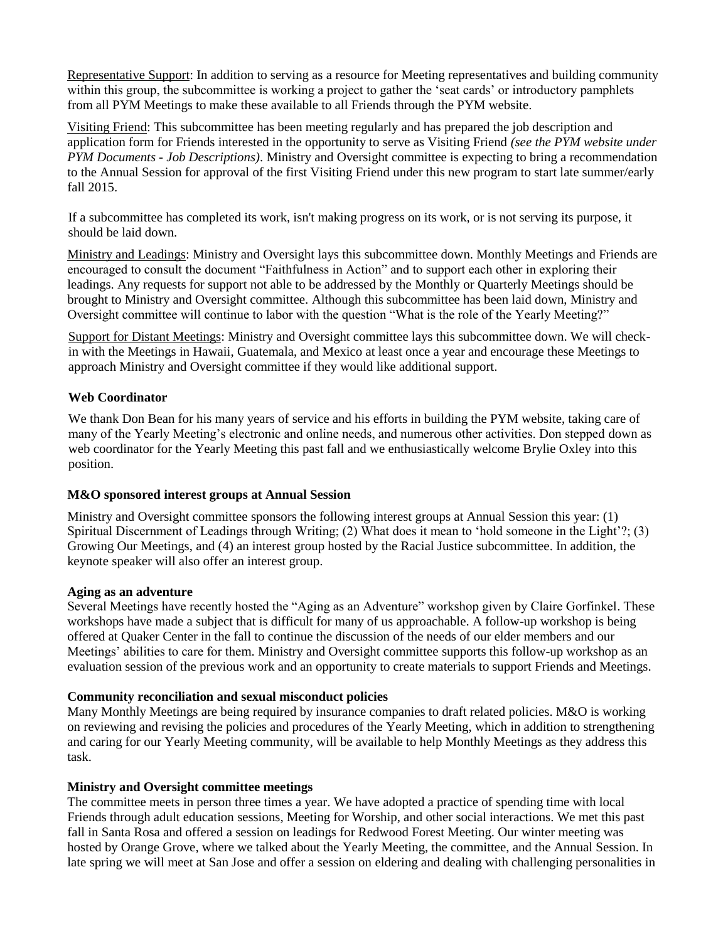Representative Support: In addition to serving as a resource for Meeting representatives and building community within this group, the subcommittee is working a project to gather the 'seat cards' or introductory pamphlets from all PYM Meetings to make these available to all Friends through the PYM website.

Visiting Friend: This subcommittee has been meeting regularly and has prepared the job description and application form for Friends interested in the opportunity to serve as Visiting Friend *(see the PYM website under PYM Documents - Job Descriptions)*. Ministry and Oversight committee is expecting to bring a recommendation to the Annual Session for approval of the first Visiting Friend under this new program to start late summer/early fall 2015.

If a subcommittee has completed its work, isn't making progress on its work, or is not serving its purpose, it should be laid down.

Ministry and Leadings: Ministry and Oversight lays this subcommittee down. Monthly Meetings and Friends are encouraged to consult the document "Faithfulness in Action" and to support each other in exploring their leadings. Any requests for support not able to be addressed by the Monthly or Quarterly Meetings should be brought to Ministry and Oversight committee. Although this subcommittee has been laid down, Ministry and Oversight committee will continue to labor with the question "What is the role of the Yearly Meeting?"

Support for Distant Meetings: Ministry and Oversight committee lays this subcommittee down. We will checkin with the Meetings in Hawaii, Guatemala, and Mexico at least once a year and encourage these Meetings to approach Ministry and Oversight committee if they would like additional support.

### **Web Coordinator**

We thank Don Bean for his many years of service and his efforts in building the PYM website, taking care of many of the Yearly Meeting's electronic and online needs, and numerous other activities. Don stepped down as web coordinator for the Yearly Meeting this past fall and we enthusiastically welcome Brylie Oxley into this position.

### **M&O sponsored interest groups at Annual Session**

Ministry and Oversight committee sponsors the following interest groups at Annual Session this year: (1) Spiritual Discernment of Leadings through Writing; (2) What does it mean to 'hold someone in the Light'?; (3) Growing Our Meetings, and (4) an interest group hosted by the Racial Justice subcommittee. In addition, the keynote speaker will also offer an interest group.

### **Aging as an adventure**

Several Meetings have recently hosted the "Aging as an Adventure" workshop given by Claire Gorfinkel. These workshops have made a subject that is difficult for many of us approachable. A follow-up workshop is being offered at Quaker Center in the fall to continue the discussion of the needs of our elder members and our Meetings' abilities to care for them. Ministry and Oversight committee supports this follow-up workshop as an evaluation session of the previous work and an opportunity to create materials to support Friends and Meetings.

### **Community reconciliation and sexual misconduct policies**

Many Monthly Meetings are being required by insurance companies to draft related policies. M&O is working on reviewing and revising the policies and procedures of the Yearly Meeting, which in addition to strengthening and caring for our Yearly Meeting community, will be available to help Monthly Meetings as they address this task.

#### **Ministry and Oversight committee meetings**

The committee meets in person three times a year. We have adopted a practice of spending time with local Friends through adult education sessions, Meeting for Worship, and other social interactions. We met this past fall in Santa Rosa and offered a session on leadings for Redwood Forest Meeting. Our winter meeting was hosted by Orange Grove, where we talked about the Yearly Meeting, the committee, and the Annual Session. In late spring we will meet at San Jose and offer a session on eldering and dealing with challenging personalities in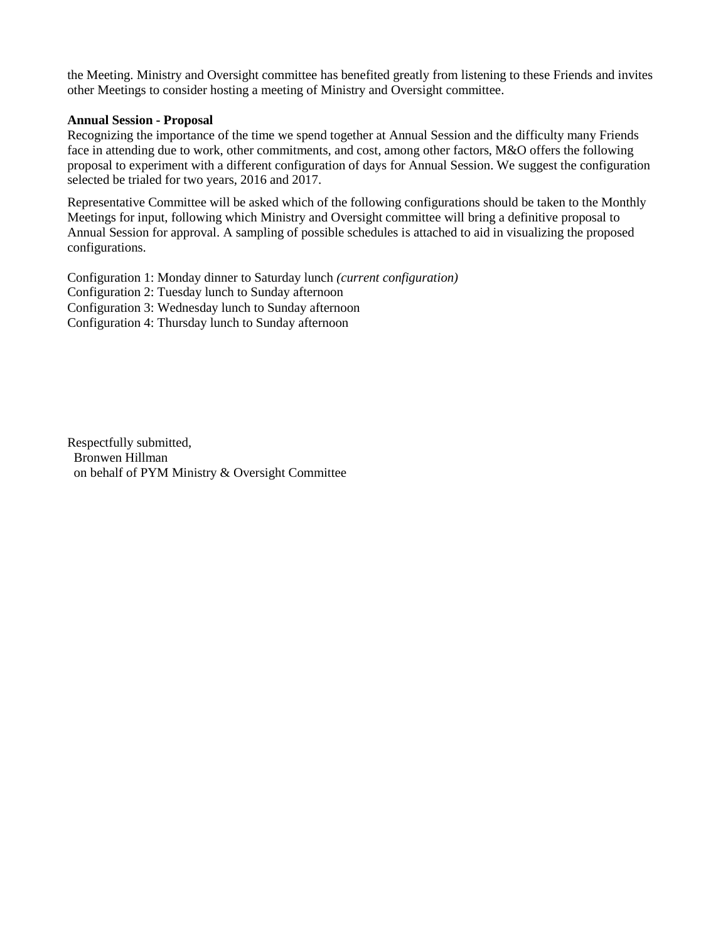the Meeting. Ministry and Oversight committee has benefited greatly from listening to these Friends and invites other Meetings to consider hosting a meeting of Ministry and Oversight committee.

#### **Annual Session - Proposal**

Recognizing the importance of the time we spend together at Annual Session and the difficulty many Friends face in attending due to work, other commitments, and cost, among other factors, M&O offers the following proposal to experiment with a different configuration of days for Annual Session. We suggest the configuration selected be trialed for two years, 2016 and 2017.

Representative Committee will be asked which of the following configurations should be taken to the Monthly Meetings for input, following which Ministry and Oversight committee will bring a definitive proposal to Annual Session for approval. A sampling of possible schedules is attached to aid in visualizing the proposed configurations.

Configuration 1: Monday dinner to Saturday lunch *(current configuration)* Configuration 2: Tuesday lunch to Sunday afternoon Configuration 3: Wednesday lunch to Sunday afternoon Configuration 4: Thursday lunch to Sunday afternoon

Respectfully submitted, Bronwen Hillman on behalf of PYM Ministry & Oversight Committee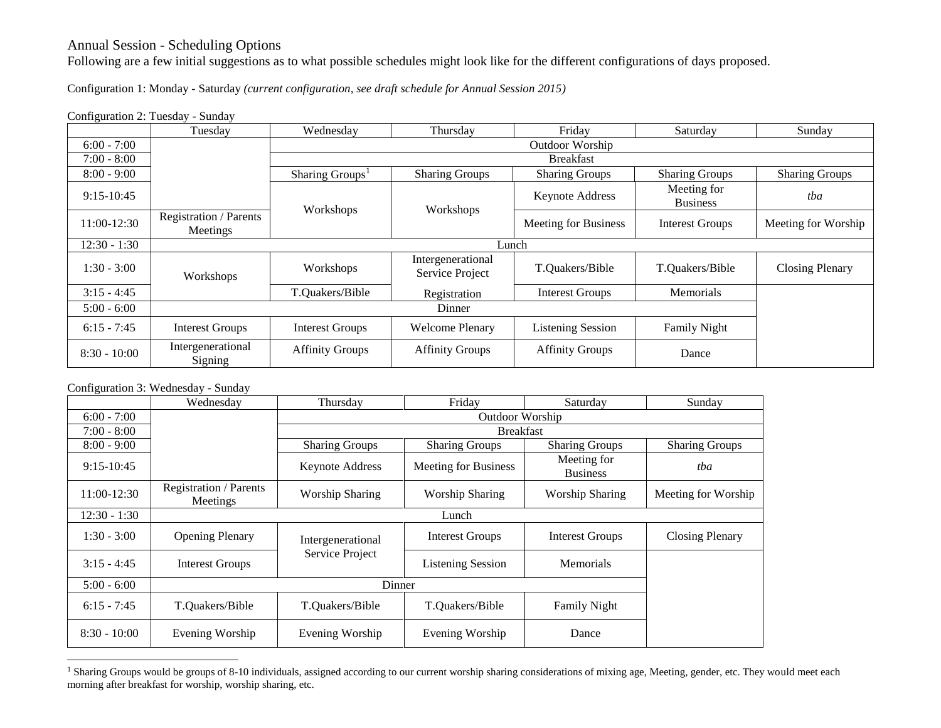# Annual Session - Scheduling Options

Following are a few initial suggestions as to what possible schedules might look like for the different configurations of days proposed.

Configuration 1: Monday - Saturday *(current configuration, see draft schedule for Annual Session 2015)* 

Configuration 2: Tuesday - Sunday

|                | Tuesday                            | Wednesday                   | Thursday                             | Friday                      | Saturday                       | Sunday                 |  |
|----------------|------------------------------------|-----------------------------|--------------------------------------|-----------------------------|--------------------------------|------------------------|--|
| $6:00 - 7:00$  |                                    | Outdoor Worship             |                                      |                             |                                |                        |  |
| $7:00 - 8:00$  |                                    | <b>Breakfast</b>            |                                      |                             |                                |                        |  |
| $8:00 - 9:00$  |                                    | Sharing Groups <sup>1</sup> | <b>Sharing Groups</b>                | <b>Sharing Groups</b>       | <b>Sharing Groups</b>          | <b>Sharing Groups</b>  |  |
| $9:15-10:45$   |                                    | Workshops                   | Workshops                            | <b>Keynote Address</b>      | Meeting for<br><b>Business</b> | tba                    |  |
| 11:00-12:30    | Registration / Parents<br>Meetings |                             |                                      | <b>Meeting for Business</b> | <b>Interest Groups</b>         | Meeting for Worship    |  |
| $12:30 - 1:30$ |                                    | Lunch                       |                                      |                             |                                |                        |  |
| $1:30 - 3:00$  | Workshops                          | Workshops                   | Intergenerational<br>Service Project | T.Quakers/Bible             | T.Quakers/Bible                | <b>Closing Plenary</b> |  |
| $3:15 - 4:45$  |                                    | T.Quakers/Bible             | Registration                         | <b>Interest Groups</b>      | Memorials                      |                        |  |
| $5:00 - 6:00$  | Dinner                             |                             |                                      |                             |                                |                        |  |
| $6:15 - 7:45$  | <b>Interest Groups</b>             | <b>Interest Groups</b>      | <b>Welcome Plenary</b>               | <b>Listening Session</b>    | <b>Family Night</b>            |                        |  |
| $8:30 - 10:00$ | Intergenerational<br>Signing       | <b>Affinity Groups</b>      | <b>Affinity Groups</b>               | <b>Affinity Groups</b>      | Dance                          |                        |  |

Configuration 3: Wednesday - Sunday

|                | Wednesday                                 | Thursday               | Friday                      | Saturday                       | Sunday                 |  |
|----------------|-------------------------------------------|------------------------|-----------------------------|--------------------------------|------------------------|--|
| $6:00 - 7:00$  |                                           | Outdoor Worship        |                             |                                |                        |  |
| $7:00 - 8:00$  |                                           | <b>Breakfast</b>       |                             |                                |                        |  |
| $8:00 - 9:00$  |                                           | <b>Sharing Groups</b>  | <b>Sharing Groups</b>       | <b>Sharing Groups</b>          | <b>Sharing Groups</b>  |  |
| $9:15-10:45$   |                                           | <b>Keynote Address</b> | <b>Meeting for Business</b> | Meeting for<br><b>Business</b> | tba                    |  |
| 11:00-12:30    | <b>Registration / Parents</b><br>Meetings | <b>Worship Sharing</b> | <b>Worship Sharing</b>      | <b>Worship Sharing</b>         | Meeting for Worship    |  |
| $12:30 - 1:30$ | Lunch                                     |                        |                             |                                |                        |  |
| $1:30 - 3:00$  | <b>Opening Plenary</b>                    | Intergenerational      | <b>Interest Groups</b>      | <b>Interest Groups</b>         | <b>Closing Plenary</b> |  |
| $3:15 - 4:45$  | Interest Groups                           | Service Project        | <b>Listening Session</b>    | <b>Memorials</b>               |                        |  |
| $5:00 - 6:00$  |                                           |                        |                             |                                |                        |  |
| $6:15 - 7:45$  | T.Quakers/Bible                           | T.Quakers/Bible        | T.Quakers/Bible             | <b>Family Night</b>            |                        |  |
| $8:30 - 10:00$ | Evening Worship                           | Evening Worship        | Evening Worship             | Dance                          |                        |  |

<sup>&</sup>lt;sup>1</sup> Sharing Groups would be groups of 8-10 individuals, assigned according to our current worship sharing considerations of mixing age, Meeting, gender, etc. They would meet each morning after breakfast for worship, worship sharing, etc.